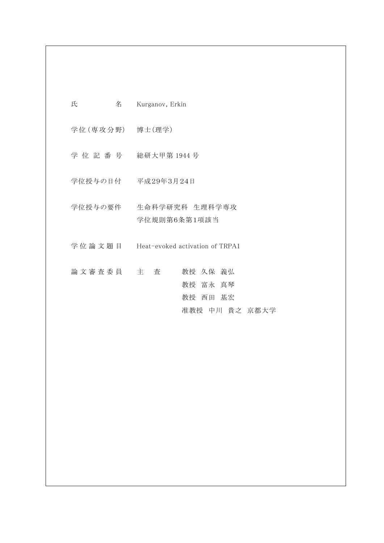| 氏<br>くちょう 名いの           | Kurganov, Erkin                                    |
|-------------------------|----------------------------------------------------|
| 学位 (専攻分野) 博士(理学)        |                                                    |
|                         |                                                    |
|                         | 学位授与の日付 平成29年3月24日                                 |
| 学位授与の要件                 | 生命科学研究科 生理科学専攻<br>学位規則第6条第1項該当                     |
|                         | 学位論文題目 Heat-evoked activation of TRPA1             |
| 論 文 審 査 委 員 て 主 て 査 こころ | 教授 久保 義弘<br>教授 富永 真琴<br>教授 西田 基宏<br>准教授 中川 貴之 京都大学 |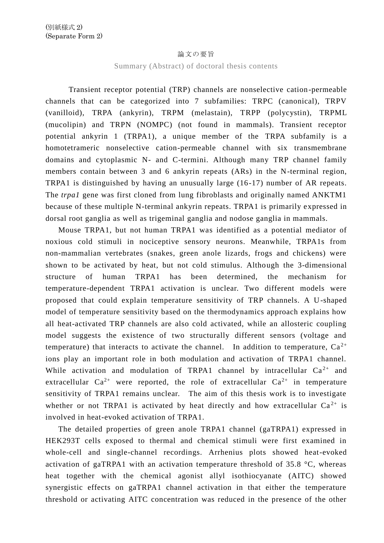## 論文の要旨

## Summary (Abstract) of doctoral thesis contents

Transient receptor potential (TRP) channels are nonselective cation-permeable channels that can be categorized into 7 subfamilies: TRPC (canonical), TRPV (vanilloid), TRPA (ankyrin), TRPM (melastain), TRPP (polycystin), TRPML (mucolipin) and TRPN (NOMPC) (not found in mammals). Transient receptor potential ankyrin 1 (TRPA1), a unique member of the TRPA subfamily is a homotetrameric nonselective cation-permeable channel with six transmembrane domains and cytoplasmic N- and C-termini. Although many TRP channel family members contain between 3 and 6 ankyrin repeats (ARs) in the N-terminal region, TRPA1 is distinguished by having an unusually large (16-17) number of AR repeats. The *trpa1* gene was first cloned from lung fibroblasts and originally named ANKTM1 because of these multiple N-terminal ankyrin repeats. TRPA1 is primarily expressed in dorsal root ganglia as well as trigeminal ganglia and nodose ganglia in mammals.

 Mouse TRPA1, but not human TRPA1 was identified as a potential mediator of noxious cold stimuli in nociceptive sensory neurons. Meanwhile, TRPA1s from non-mammalian vertebrates (snakes, green anole lizards, frogs and chickens) were shown to be activated by heat, but not cold stimulus. Although the 3-dimensional structure of human TRPA1 has been determined, the mechanism for temperature-dependent TRPA1 activation is unclear. Two different models were proposed that could explain temperature sensitivity of TRP channels. A U-shaped model of temperature sensitivity based on the thermodynamics approach explains how all heat-activated TRP channels are also cold activated, while an allosteric coupling model suggests the existence of two structurally different sensors (voltage and temperature) that interacts to activate the channel. In addition to temperature,  $Ca^{2+}$ ions play an important role in both modulation and activation of TRPA1 channel. While activation and modulation of TRPA1 channel by intracellular  $Ca^{2+}$  and extracellular  $Ca^{2+}$  were reported, the role of extracellular  $Ca^{2+}$  in temperature sensitivity of TRPA1 remains unclear. The aim of this thesis work is to investigate whether or not TRPA1 is activated by heat directly and how extracellular  $Ca^{2+}$  is involved in heat-evoked activation of TRPA1.

 The detailed properties of green anole TRPA1 channel (gaTRPA1) expressed in HEK293T cells exposed to thermal and chemical stimuli were first examined in whole-cell and single-channel recordings. Arrhenius plots showed heat-evoked activation of gaTRPA1 with an activation temperature threshold of 35.8 °C, whereas heat together with the chemical agonist allyl isothiocyanate (AITC) showed synergistic effects on gaTRPA1 channel activation in that either the temperature threshold or activating AITC concentration was reduced in the presence of the other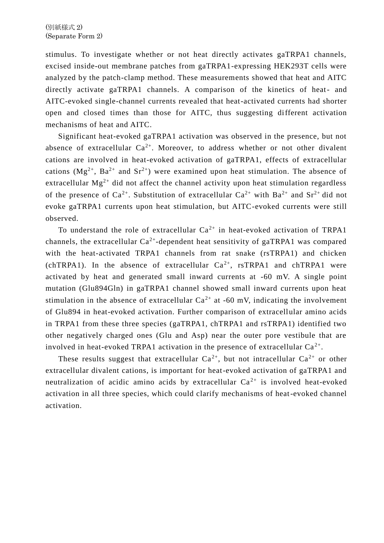stimulus. To investigate whether or not heat directly activates gaTRPA1 channels, excised inside-out membrane patches from gaTRPA1-expressing HEK293T cells were analyzed by the patch-clamp method. These measurements showed that heat and AITC directly activate gaTRPA1 channels. A comparison of the kinetics of heat- and AITC-evoked single-channel currents revealed that heat-activated currents had shorter open and closed times than those for AITC, thus suggesting different activation mechanisms of heat and AITC.

 Significant heat-evoked gaTRPA1 activation was observed in the presence, but not absence of extracellular  $Ca^{2+}$ . Moreover, to address whether or not other divalent cations are involved in heat-evoked activation of gaTRPA1, effects of extracellular cations  $(Mg^{2+}, Ba^{2+}$  and  $Sr^{2+})$  were examined upon heat stimulation. The absence of extracellular  $Mg^{2+}$  did not affect the channel activity upon heat stimulation regardless of the presence of  $Ca^{2+}$ . Substitution of extracellular  $Ca^{2+}$  with  $Ba^{2+}$  and  $Sr^{2+}$  did not evoke gaTRPA1 currents upon heat stimulation, but AITC-evoked currents were still observed.

To understand the role of extracellular  $Ca^{2+}$  in heat-evoked activation of TRPA1 channels, the extracellular  $Ca^{2+}$ -dependent heat sensitivity of gaTRPA1 was compared with the heat-activated TRPA1 channels from rat snake (rsTRPA1) and chicken (chTRPA1). In the absence of extracellular  $Ca^{2+}$ , rsTRPA1 and chTRPA1 were activated by heat and generated small inward currents at -60 mV. A single point mutation (Glu894Gln) in gaTRPA1 channel showed small inward currents upon heat stimulation in the absence of extracellular  $Ca^{2+}$  at -60 mV, indicating the involvement of Glu894 in heat-evoked activation. Further comparison of extracellular amino acids in TRPA1 from these three species (gaTRPA1, chTRPA1 and rsTRPA1) identified two other negatively charged ones (Glu and Asp) near the outer pore vestibule that are involved in heat-evoked TRPA1 activation in the presence of extracellular  $Ca^{2+}$ .

These results suggest that extracellular  $Ca^{2+}$ , but not intracellular  $Ca^{2+}$  or other extracellular divalent cations, is important for heat-evoked activation of gaTRPA1 and neutralization of acidic amino acids by extracellular  $Ca^{2+}$  is involved heat-evoked activation in all three species, which could clarify mechanisms of heat-evoked channel activation.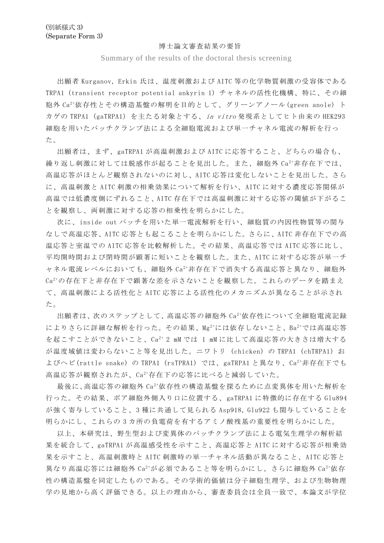## 博士論文審査結果の要旨

Summary of the results of the doctoral thesis screening

出願者 Kurganov, Erkin 氏は、温度刺激および AITC 等の化学物質刺激の受容体である TRPA1 (transient receptor potential ankyrin 1) チャネルの活性化機構、特に、その細 胞外 Ca2+依存性とその構造基盤の解明を目的として、グリーンアノール(green anole) ト カゲの TRPA1 (gaTRPA1) を主たる対象とする、in vitro 発現系としてヒト由来の HEK293 細胞を用いたパッチクランプ法による全細胞電流および単一チャネル電流の解析を行っ た。

出願者は、まず、gaTRPA1 が高温刺激および AITC に応答すること、どちらの場合も、 繰り返し刺激に対しては脱感作が起ることを見出した。また、細胞外 Ca2+非存在下では、 高温応答がほとんど観察されないのに対し、AITC 応答は変化しないことを見出した。さら に、高温刺激と AITC 刺激の相乗効果について解析を行い、AITC に対する濃度応答関係が 高温では低濃度側にずれること、AITC 存在下では高温刺激に対する応答の閾値が下がるこ とを観察し、両刺激に対する応答の相乗性を明らかにした。

次に、inside out パッチを用いた単一電流解析を行い、細胞質の内因性物質等の関与 なしで高温応答、AITC 応答とも起こることを明らかにした。さらに、AITC 非存在下での高 温応答と室温での AITC 応答を比較解析した。その結果、高温応答では AITC 応答に比し、 平均開時間および閉時間が顕著に短いことを観察した。また、AITC に対する応答が単一チ ャネル電流レベルにおいても、細胞外 Ca2+非存在下で消失する高温応答と異なり、細胞外 Ca2+の存在下と非存在下で顕著な差を示さないことを観察した。これらのデータを踏まえ て、高温刺激による活性化と AITC 応答による活性化のメカニズムが異なることが示され た。

出願者は、次のステップとして、高温応答の細胞外 Ca2+依存性について全細胞電流記録 によりさらに詳細な解析を行った。その結果、Mg2+には依存しないこと、Ba2+では高温応答 を起こすことができないこと、Ca2+ 2 mM では 1 mM に比して高温応答の大きさは増大する が温度域値は変わらないこと等を見出した。ニワトリ (chicken) の TRPA1 (chTRPA1) お よびへビ(rattle snake) の TRPA1 (rsTPRA1) では、gaTRPA1 と異なり、Ca<sup>2+</sup>非存在下でも 高温応答が観察されたが、Ca2+存在下の応答に比べると減弱していた。

最後に、高温応答の細胞外 Ca2+依存性の構造基盤を探るために点変異体を用いた解析を 行った。その結果、ポア細胞外側入り口に位置する、gaTRPA1 に特徴的に存在する Glu894 が強く寄与していること、3 種に共通して見られる Asp918, Glu922 も関与していることを 明らかにし、これらの 3 カ所の負電荷を有するアミノ酸残基の重要性を明らかにした。

以上、本研究は、野生型および変異体のパッチクランプ法による電気生理学の解析結 果を統合して、gaTRPA1 が高温感受性を示すこと、高温応答と AITC に対する応答が相乗効 果を示すこと、高温刺激時と AITC 刺激時の単一チャネル活動が異なること、AITC 応答と 異なり高温応答には細胞外 $Ca^{2+}$ が必須であること等を明らかにし、さらに細胞外 $Ca^{2+}$ 依存 性の構造基盤を同定したものである。その学術的価値は分子細胞生理学、および生物物理 学の見地から高く評価できる。以上の理由から、審査委員会は全員一致で、本論文が学位